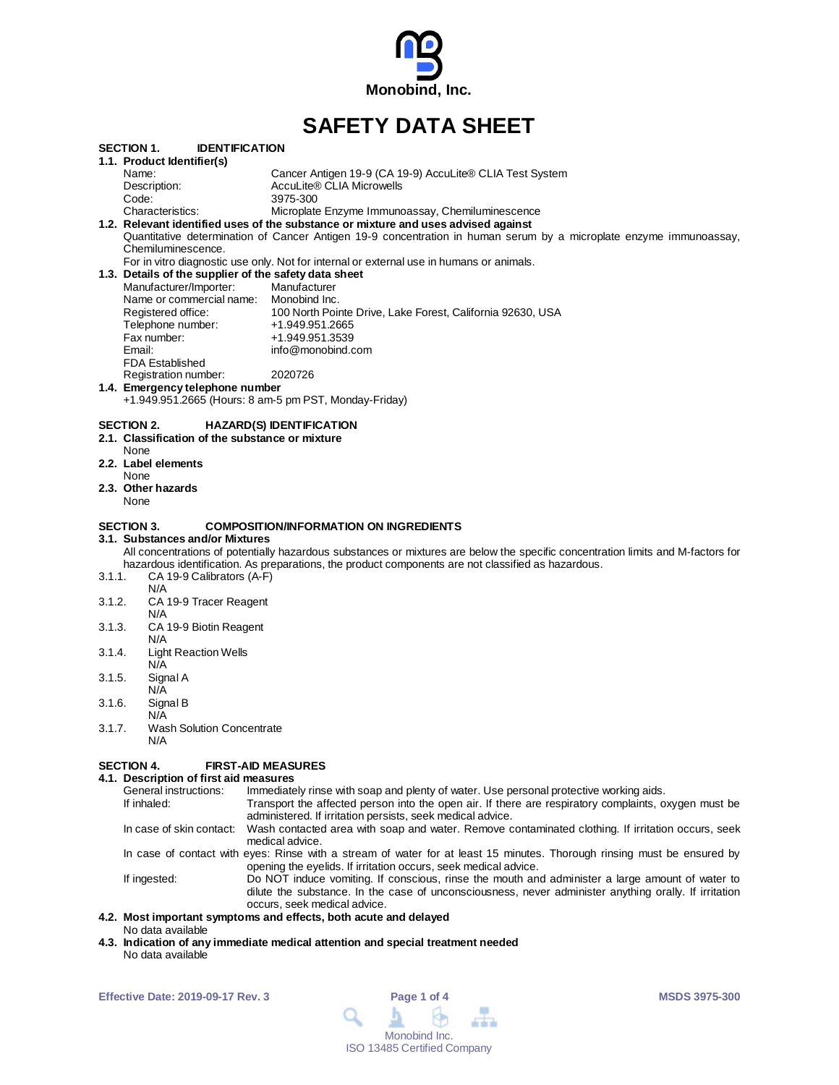

# **SAFETY DATA SHEET**

|        | <b>IDENTIFICATION</b><br><b>SECTION 1.</b>                                                                                         |                                                                                                                                  |
|--------|------------------------------------------------------------------------------------------------------------------------------------|----------------------------------------------------------------------------------------------------------------------------------|
|        | 1.1. Product Identifier(s)                                                                                                         |                                                                                                                                  |
|        | Name:                                                                                                                              | Cancer Antigen 19-9 (CA 19-9) AccuLite® CLIA Test System                                                                         |
|        | Description:                                                                                                                       | AccuLite® CLIA Microwells                                                                                                        |
|        | Code:                                                                                                                              | 3975-300                                                                                                                         |
|        | Characteristics:                                                                                                                   | Microplate Enzyme Immunoassay, Chemiluminescence                                                                                 |
|        |                                                                                                                                    | 1.2. Relevant identified uses of the substance or mixture and uses advised against                                               |
|        |                                                                                                                                    | Quantitative determination of Cancer Antigen 19-9 concentration in human serum by a microplate enzyme immunoassay,               |
|        | Chemiluminescence.                                                                                                                 |                                                                                                                                  |
|        |                                                                                                                                    | For in vitro diagnostic use only. Not for internal or external use in humans or animals.                                         |
|        | 1.3. Details of the supplier of the safety data sheet                                                                              |                                                                                                                                  |
|        | Manufacturer/Importer:                                                                                                             | Manufacturer                                                                                                                     |
|        | Name or commercial name: Monobind Inc.                                                                                             |                                                                                                                                  |
|        | Registered office:                                                                                                                 | 100 North Pointe Drive, Lake Forest, California 92630, USA                                                                       |
|        | Telephone number:                                                                                                                  | +1.949.951.2665                                                                                                                  |
|        | Fax number:                                                                                                                        | +1.949.951.3539                                                                                                                  |
|        | Email:                                                                                                                             | info@monobind.com                                                                                                                |
|        | <b>FDA Established</b>                                                                                                             |                                                                                                                                  |
|        | Registration number:                                                                                                               | 2020726                                                                                                                          |
|        | 1.4. Emergency telephone number                                                                                                    |                                                                                                                                  |
|        |                                                                                                                                    | +1.949.951.2665 (Hours: 8 am-5 pm PST, Monday-Friday)                                                                            |
|        | SECTION 2.<br>2.1. Classification of the substance or mixture<br>None<br>2.2. Label elements<br>None<br>2.3. Other hazards<br>None | <b>HAZARD(S) IDENTIFICATION</b>                                                                                                  |
|        | SECTION 3.<br>3.1. Substances and/or Mixtures                                                                                      | <b>COMPOSITION/INFORMATION ON INGREDIENTS</b>                                                                                    |
|        |                                                                                                                                    | All concentrations of potentially hazardous substances or mixtures are below the specific concentration limits and M-factors for |
|        |                                                                                                                                    | hazardous identification. As preparations, the product components are not classified as hazardous.                               |
| 3.1.1. | CA 19-9 Calibrators (A-F)                                                                                                          |                                                                                                                                  |
|        | N/A                                                                                                                                |                                                                                                                                  |
| 3.1.2. | CA 19-9 Tracer Reagent                                                                                                             |                                                                                                                                  |
|        | N/A                                                                                                                                |                                                                                                                                  |
| 3.1.3. | CA 19-9 Biotin Reagent                                                                                                             |                                                                                                                                  |
|        | N/A                                                                                                                                |                                                                                                                                  |
| 3.1.4. | <b>Light Reaction Wells</b>                                                                                                        |                                                                                                                                  |
|        | N/A                                                                                                                                |                                                                                                                                  |
| 3.1.5. | Signal A                                                                                                                           |                                                                                                                                  |
|        | N/A                                                                                                                                |                                                                                                                                  |
| 3.1.6. | Signal B                                                                                                                           |                                                                                                                                  |
|        | N/A                                                                                                                                |                                                                                                                                  |
| 3.1.7. | <b>Wash Solution Concentrate</b>                                                                                                   |                                                                                                                                  |
|        | N/A                                                                                                                                |                                                                                                                                  |

#### **SECTION 4. FIRST-AID MEASURES**

#### **4.1. Description of first aid measures**

| General instructions:    | Immediately rinse with soap and plenty of water. Use personal protective working aids.                                                                                                                                                   |
|--------------------------|------------------------------------------------------------------------------------------------------------------------------------------------------------------------------------------------------------------------------------------|
| If inhaled:              | Transport the affected person into the open air. If there are respiratory complaints, oxygen must be<br>administered. If irritation persists, seek medical advice.                                                                       |
| In case of skin contact: | Wash contacted area with soap and water. Remove contaminated clothing. If irritation occurs, seek<br>medical advice.                                                                                                                     |
|                          | In case of contact with eyes: Rinse with a stream of water for at least 15 minutes. Thorough rinsing must be ensured by<br>opening the eyelids. If irritation occurs, seek medical advice.                                               |
| If ingested:             | Do NOT induce vomiting. If conscious, rinse the mouth and administer a large amount of water to<br>dilute the substance. In the case of unconsciousness, never administer anything orally. If irritation<br>occurs, seek medical advice. |
|                          |                                                                                                                                                                                                                                          |

#### **4.2. Most important symptoms and effects, both acute and delayed** No data available

**4.3. Indication of any immediate medical attention and special treatment needed** No data available

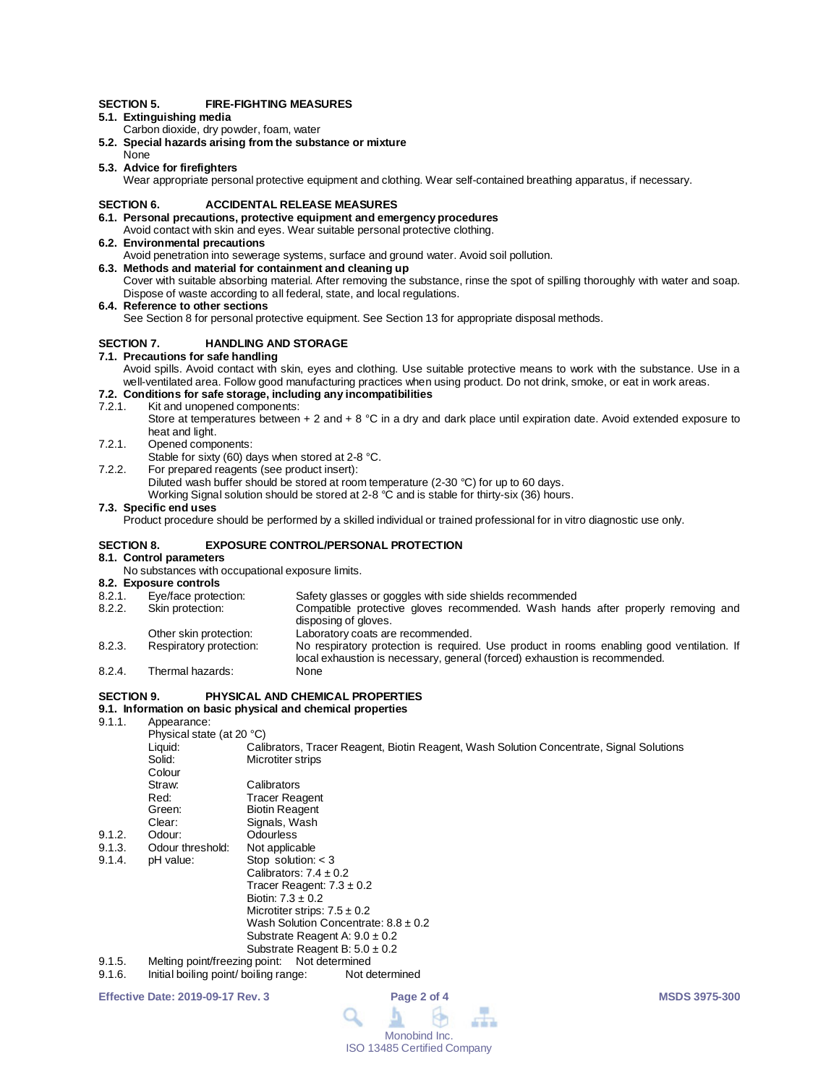#### **SECTION 5. FIRE-FIGHTING MEASURES**

## **5.1. Extinguishing media**

- Carbon dioxide, dry powder, foam, water
- **5.2. Special hazards arising from the substance or mixture**
- None **5.3. Advice for firefighters**

Wear appropriate personal protective equipment and clothing. Wear self-contained breathing apparatus, if necessary.

#### **SECTION 6. ACCIDENTAL RELEASE MEASURES**

#### **6.1. Personal precautions, protective equipment and emergency procedures**

- Avoid contact with skin and eyes. Wear suitable personal protective clothing. **6.2. Environmental precautions**
	- Avoid penetration into sewerage systems, surface and ground water. Avoid soil pollution.
- **6.3. Methods and material for containment and cleaning up** Cover with suitable absorbing material. After removing the substance, rinse the spot of spilling thoroughly with water and soap.

Dispose of waste according to all federal, state, and local regulations.

**6.4. Reference to other sections**

See Section 8 for personal protective equipment. See Section 13 for appropriate disposal methods.

#### **SECTION 7. HANDLING AND STORAGE**

#### **7.1. Precautions for safe handling**

Avoid spills. Avoid contact with skin, eyes and clothing. Use suitable protective means to work with the substance. Use in a well-ventilated area. Follow good manufacturing practices when using product. Do not drink, smoke, or eat in work areas.

## **7.2. Conditions for safe storage, including any incompatibilities**

7.2.1. Kit and unopened components:

Store at temperatures between  $+ 2$  and  $+ 8$  °C in a dry and dark place until expiration date. Avoid extended exposure to heat and light.

- 7.2.1. Opened components:
- Stable for sixty (60) days when stored at 2-8 °C.
- 7.2.2. For prepared reagents (see product insert):

Diluted wash buffer should be stored at room temperature (2-30 °C) for up to 60 days.

Working Signal solution should be stored at 2-8 °C and is stable for thirty-six (36) hours.

### **7.3. Specific end uses**

Product procedure should be performed by a skilled individual or trained professional for in vitro diagnostic use only.

#### **SECTION 8. EXPOSURE CONTROL/PERSONAL PROTECTION**

**8.1. Control parameters**

No substances with occupational exposure limits.

## **8.2. Exposure controls**

- 8.2.1. Eye/face protection: Safety glasses or goggles with side shields recommended<br>8.2.2. Skin protection: Compatible protective gloves recommended. Wash han Compatible protective gloves recommended. Wash hands after properly removing and disposing of gloves. Other skin protection: Laboratory coats are recommended. 8.2.3. Respiratory protection: No respiratory protection is required. Use product in rooms enabling good ventilation. If local exhaustion is necessary, general (forced) exhaustion is recommended.
- 8.2.4. Thermal hazards:

### **SECTION 9. PHYSICAL AND CHEMICAL PROPERTIES**

## **9.1. Information on basic physical and chemical properties**

Appearance:

|        | Physical state (at 20 °C)     |                                                                                          |
|--------|-------------------------------|------------------------------------------------------------------------------------------|
|        | Liquid:                       | Calibrators, Tracer Reagent, Biotin Reagent, Wash Solution Concentrate, Signal Solutions |
|        | Solid:                        | Microtiter strips                                                                        |
|        | Colour                        |                                                                                          |
|        | Straw:                        | Calibrators                                                                              |
|        | Red:                          | <b>Tracer Reagent</b>                                                                    |
|        | Green:                        | <b>Biotin Reagent</b>                                                                    |
|        | Clear:                        | Signals, Wash                                                                            |
| 9.1.2. | Odour:                        | Odourless                                                                                |
| 9.1.3. | Odour threshold:              | Not applicable                                                                           |
| 9.1.4. | pH value:                     | Stop solution: $<$ 3                                                                     |
|        |                               | Calibrators: $7.4 \pm 0.2$                                                               |
|        |                               | Tracer Reagent: $7.3 \pm 0.2$                                                            |
|        |                               | Biotin: $7.3 \pm 0.2$                                                                    |
|        |                               | Microtiter strips: $7.5 \pm 0.2$                                                         |
|        |                               | Wash Solution Concentrate: $8.8 \pm 0.2$                                                 |
|        |                               | Substrate Reagent A: $9.0 \pm 0.2$                                                       |
|        |                               | Substrate Reagent B: $5.0 \pm 0.2$                                                       |
| 9.1.5. | Melting point/freezing point: | Not determined                                                                           |
|        |                               |                                                                                          |

9.1.6. Initial boiling point/ boiling range: Not determined

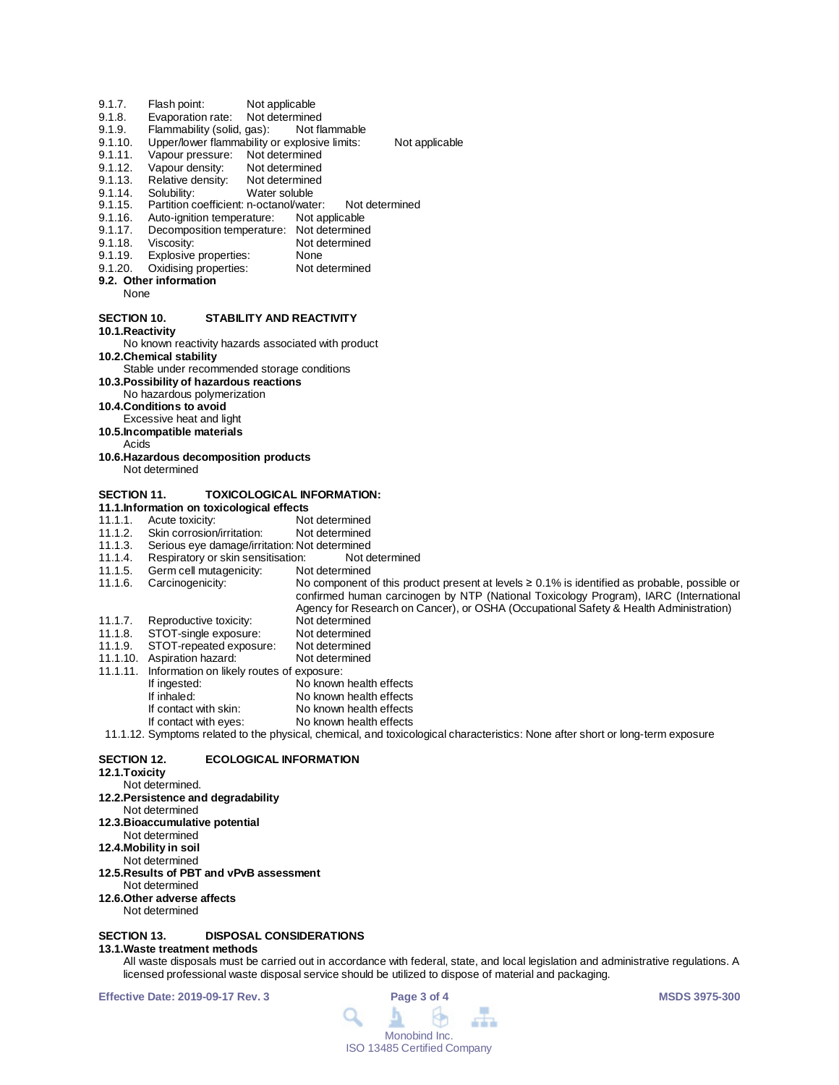- 9.1.7. Flash point: Not applicable<br>9.1.8. Evaporation rate: Not determined
- 9.1.8. Evaporation rate: Not determined<br>9.1.9. Flammability (solid, gas): Not flammable
- 9.1.9. Flammability (solid, gas):<br>9.1.10. Upper/lower flammability of
- Upper/lower flammability or explosive limits: Not applicable
- 9.1.11. Vapour pressure: Not determined<br>9.1.12. Vapour density: Not determined
- 9.1.12. Vapour density: Not determined<br>9.1.13. Relative density: Not determined
- 9.1.13. Relative density: Not determined 9.1.14. Solubility: Water soluble
- 9.1.14. Solubility: Water soluble
- 9.1.15. Partition coefficient: n-octanol/water: Not determined
- 9.1.16. Auto-ignition temperature: Not applicable<br>9.1.17. Decomposition temperature: Not determined
- 9.1.17. Decomposition temperature: Not determined<br>9.1.18. Viscosity: Not determined
- 9.1.18. Viscosity: Not determined<br>9.1.19. Explosive properties: None
- 9.1.19. Explosive properties: None<br>9.1.20. Oxidising properties: Not determined
- Oxidising properties: **9.2. Other information**
- - None

#### **SECTION 10. STABILITY AND REACTIVITY**

**10.1.Reactivity**

No known reactivity hazards associated with product **10.2.Chemical stability**

- Stable under recommended storage conditions
- **10.3.Possibility of hazardous reactions**

No hazardous polymerization

**10.4.Conditions to avoid**

- Excessive heat and light
- **10.5.Incompatible materials**
- Acids

**10.6.Hazardous decomposition products** Not determined

### **SECTION 11. TOXICOLOGICAL INFORMATION:**

**11.1.Information on toxicological effects**

- 11.1.1. Acute toxicity: Not determined<br>11.1.2. Skin corrosion/irritation: Not determined
- 11.1.2. Skin corrosion/irritation:<br>11.1.3. Serious eye damage/irrit
- 11.1.3. Serious eye damage/irritation: Not determined
- 11.1.4. Respiratory or skin sensitisation: Not d<br>11.1.5. Germ cell mutagenicity: Not determined
- 11.1.5. Germ cell mutagenicity:<br>11.1.6. Carcinogenicity:
- No component of this product present at levels ≥ 0.1% is identified as probable, possible or confirmed human carcinogen by NTP (National Toxicology Program), IARC (International
- Agency for Research on Cancer), or OSHA (Occupational Safety & Health Administration)<br>Not determined
- 11.1.7. Reproductive toxicity: Not determined<br>11.1.8. STOT-single exposure: Not determined
- 11.1.8. STOT-single exposure: Not determined 11.1.9. STOT-repeated exposure: Not determined
- 11.1.10. Aspiration hazard: Not determined
- 11.1.11. Information on likely routes of exposure:
- If ingested: No known health effects<br>
If inhaled: No known health effects If inhaled: No known health effects<br>If contact with skin: No known health effects
- If contact with skin: No known health effects<br>If contact with eyes: No known health effects

No known health effects 11.1.12. Symptoms related to the physical, chemical, and toxicological characteristics: None after short or long-term exposure

## **SECTION 12. ECOLOGICAL INFORMATION**

**12.1.Toxicity** Not determined. **12.2.Persistence and degradability** Not determined **12.3.Bioaccumulative potential** Not determined **12.4.Mobility in soil** Not determined **12.5.Results of PBT and vPvB assessment** Not determined **12.6.Other adverse affects** Not determined **SECTION 13. DISPOSAL CONSIDERATIONS** 

#### **13.1.Waste treatment methods**

All waste disposals must be carried out in accordance with federal, state, and local legislation and administrative regulations. A licensed professional waste disposal service should be utilized to dispose of material and packaging.